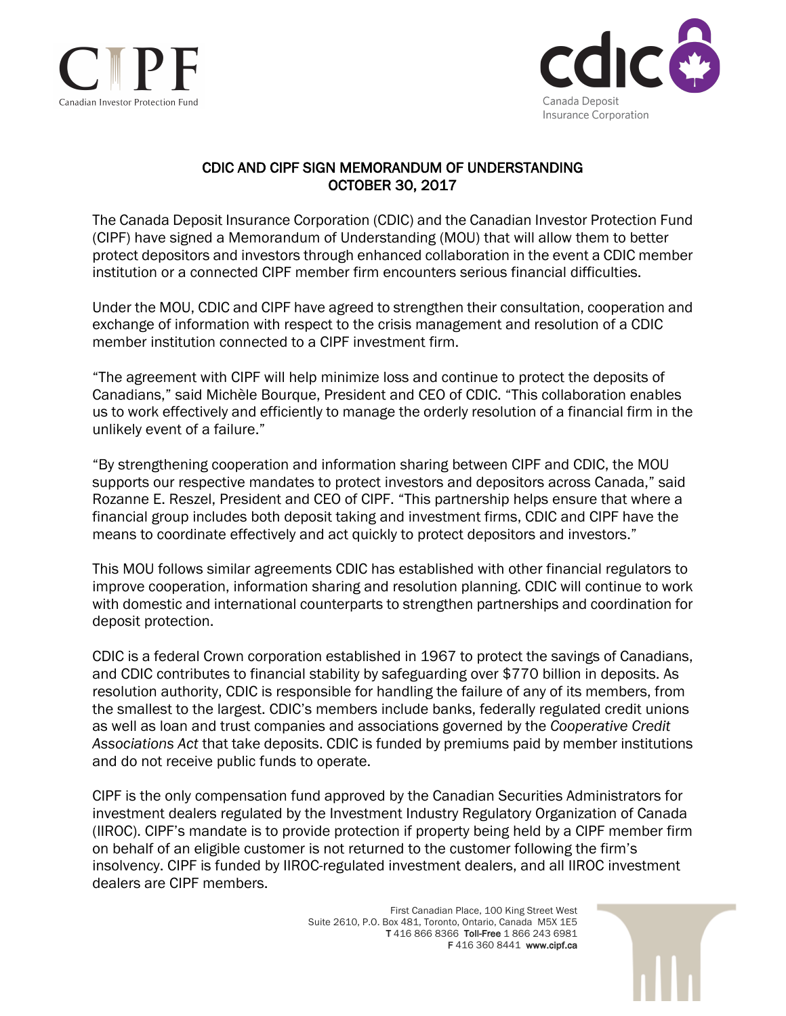



## CDIC AND CIPF SIGN MEMORANDUM OF UNDERSTANDING OCTOBER 30, 2017

The Canada Deposit Insurance Corporation (CDIC) and the Canadian Investor Protection Fund (CIPF) have signed a Memorandum of Understanding (MOU) that will allow them to better protect depositors and investors through enhanced collaboration in the event a CDIC member institution or a connected CIPF member firm encounters serious financial difficulties.

Under the MOU, CDIC and CIPF have agreed to strengthen their consultation, cooperation and exchange of information with respect to the crisis management and resolution of a CDIC member institution connected to a CIPF investment firm.

"The agreement with CIPF will help minimize loss and continue to protect the deposits of Canadians," said Michèle Bourque, President and CEO of CDIC. "This collaboration enables us to work effectively and efficiently to manage the orderly resolution of a financial firm in the unlikely event of a failure."

"By strengthening cooperation and information sharing between CIPF and CDIC, the MOU supports our respective mandates to protect investors and depositors across Canada," said Rozanne E. Reszel, President and CEO of CIPF. "This partnership helps ensure that where a financial group includes both deposit taking and investment firms, CDIC and CIPF have the means to coordinate effectively and act quickly to protect depositors and investors."

This MOU follows similar agreements CDIC has established with other financial regulators to improve cooperation, information sharing and resolution planning. CDIC will continue to work with domestic and international counterparts to strengthen partnerships and coordination for deposit protection.

CDIC is a federal Crown corporation established in 1967 to protect the savings of Canadians, and CDIC contributes to financial stability by safeguarding over \$770 billion in deposits. As resolution authority, CDIC is responsible for handling the failure of any of its members, from the smallest to the largest. CDIC's members include banks, federally regulated credit unions as well as loan and trust companies and associations governed by the *Cooperative Credit Associations Act* that take deposits. CDIC is funded by premiums paid by member institutions and do not receive public funds to operate.

CIPF is the only compensation fund approved by the Canadian Securities Administrators for investment dealers regulated by the Investment Industry Regulatory Organization of Canada (IIROC). CIPF's mandate is to provide protection if property being held by a CIPF member firm on behalf of an eligible customer is not returned to the customer following the firm's insolvency. CIPF is funded by IIROC-regulated investment dealers, and all IIROC investment dealers are CIPF members.